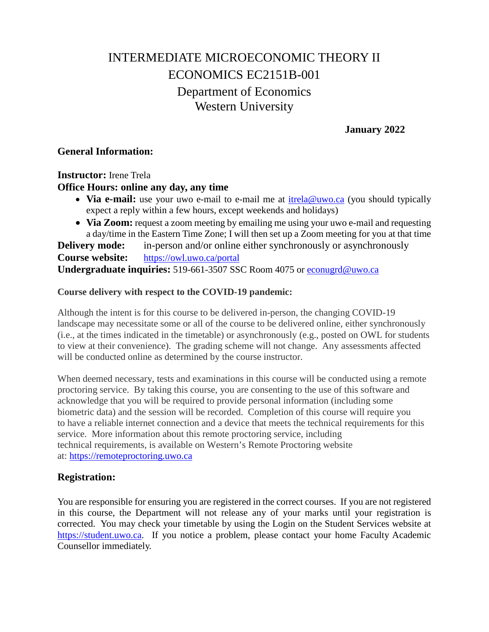# INTERMEDIATE MICROECONOMIC THEORY II ECONOMICS EC2151B-001 Department of Economics Western University

**January 2022**

#### **General Information:**

### **Instructor:** Irene Trela **Office Hours: online any day, any time**

- **Via e-mail:** use your uwo e-mail to e-mail me at [itrela@uwo.ca](mailto:itrela@uwo.ca) (you should typically expect a reply within a few hours, except weekends and holidays)
- **Via Zoom:** request a zoom meeting by emailing me using your uwo e-mail and requesting a day/time in the Eastern Time Zone; I will then set up a Zoom meeting for you at that time

**Delivery mode:** in-person and/or online either synchronously or asynchronously **Course website:** <https://owl.uwo.ca/portal> **Undergraduate inquiries:** 519-661-3507 SSC Room 4075 or [econugrd@uwo.ca](mailto:econugrd@uwo.ca)

#### **Course delivery with respect to the COVID-19 pandemic:**

Although the intent is for this course to be delivered in-person, the changing COVID-19 landscape may necessitate some or all of the course to be delivered online, either synchronously (i.e., at the times indicated in the timetable) or asynchronously (e.g., posted on OWL for students to view at their convenience). The grading scheme will not change. Any assessments affected will be conducted online as determined by the course instructor.

When deemed necessary, tests and examinations in this course will be conducted using a remote proctoring service. By taking this course, you are consenting to the use of this software and acknowledge that you will be required to provide personal information (including some biometric data) and the session will be recorded. Completion of this course will require you to have a reliable internet connection and a device that meets the technical requirements for this service. More information about this remote proctoring service, including technical requirements, is available on Western's Remote Proctoring website at: [https://remoteproctoring.uwo.ca](https://remoteproctoring.uwo.ca/)

# **Registration:**

You are responsible for ensuring you are registered in the correct courses. If you are not registered in this course, the Department will not release any of your marks until your registration is corrected. You may check your timetable by using the Login on the Student Services website at [https://student.uwo.ca.](https://student.uwo.ca/) If you notice a problem, please contact your home Faculty Academic Counsellor immediately.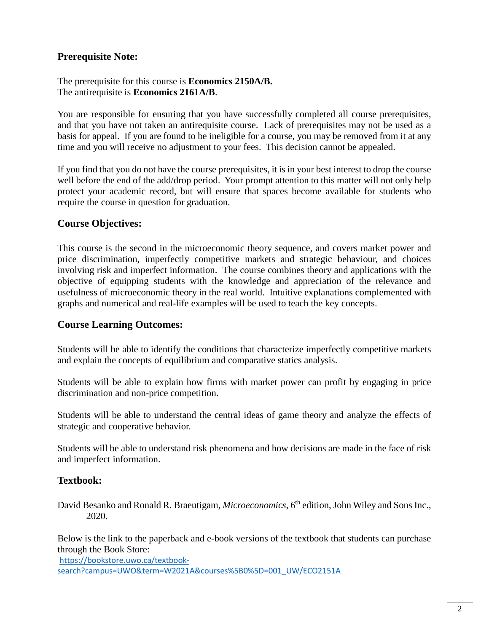# **Prerequisite Note:**

The prerequisite for this course is **Economics 2150A/B.**  The antirequisite is **Economics 2161A/B**.

You are responsible for ensuring that you have successfully completed all course prerequisites, and that you have not taken an antirequisite course. Lack of prerequisites may not be used as a basis for appeal. If you are found to be ineligible for a course, you may be removed from it at any time and you will receive no adjustment to your fees. This decision cannot be appealed.

If you find that you do not have the course prerequisites, it is in your best interest to drop the course well before the end of the add/drop period. Your prompt attention to this matter will not only help protect your academic record, but will ensure that spaces become available for students who require the course in question for graduation.

#### **Course Objectives:**

This course is the second in the microeconomic theory sequence, and covers market power and price discrimination, imperfectly competitive markets and strategic behaviour, and choices involving risk and imperfect information. The course combines theory and applications with the objective of equipping students with the knowledge and appreciation of the relevance and usefulness of microeconomic theory in the real world. Intuitive explanations complemented with graphs and numerical and real-life examples will be used to teach the key concepts.

#### **Course Learning Outcomes:**

Students will be able to identify the conditions that characterize imperfectly competitive markets and explain the concepts of equilibrium and comparative statics analysis.

Students will be able to explain how firms with market power can profit by engaging in price discrimination and non-price competition.

Students will be able to understand the central ideas of game theory and analyze the effects of strategic and cooperative behavior.

Students will be able to understand risk phenomena and how decisions are made in the face of risk and imperfect information.

# **Textbook:**

David Besanko and Ronald R. Braeutigam, *Microeconomics*, 6<sup>th</sup> edition, John Wiley and Sons Inc., 2020.

Below is the link to the paperback and e-book versions of the textbook that students can purchase through the Book Store:

[https://bookstore.uwo.ca/textbook-](https://bookstore.uwo.ca/textbook-search?campus=UWO&term=W2021A&courses%5B0%5D=001_UW/ECO2151A)

[search?campus=UWO&term=W2021A&courses%5B0%5D=001\\_UW/ECO2151A](https://bookstore.uwo.ca/textbook-search?campus=UWO&term=W2021A&courses%5B0%5D=001_UW/ECO2151A)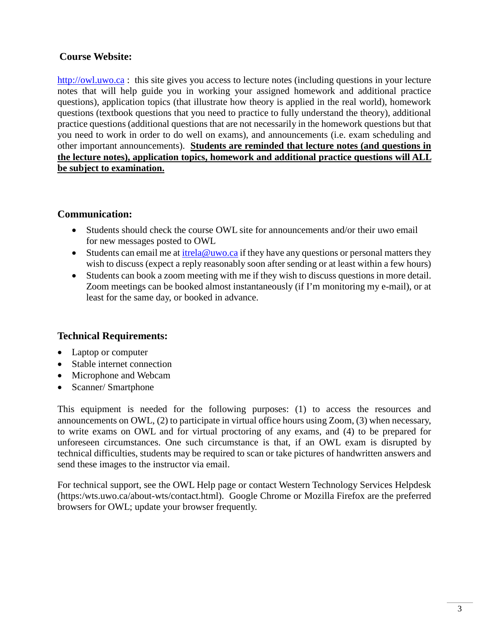# **Course Website:**

[http://owl.uwo.ca](http://owl.uwo.ca/) : this site gives you access to lecture notes (including questions in your lecture notes that will help guide you in working your assigned homework and additional practice questions), application topics (that illustrate how theory is applied in the real world), homework questions (textbook questions that you need to practice to fully understand the theory), additional practice questions (additional questions that are not necessarily in the homework questions but that you need to work in order to do well on exams), and announcements (i.e. exam scheduling and other important announcements). **Students are reminded that lecture notes (and questions in the lecture notes), application topics, homework and additional practice questions will ALL be subject to examination.** 

# **Communication:**

- Students should check the course OWL site for announcements and/or their uwo email for new messages posted to OWL
- Students can email me at  $\frac{i \text{trela} @ \text{uwo} . \text{ca}}{i}$  if they have any questions or personal matters they wish to discuss (expect a reply reasonably soon after sending or at least within a few hours)
- Students can book a zoom meeting with me if they wish to discuss questions in more detail. Zoom meetings can be booked almost instantaneously (if I'm monitoring my e-mail), or at least for the same day, or booked in advance.

# **Technical Requirements:**

- Laptop or computer
- Stable internet connection
- Microphone and Webcam
- Scanner/ Smartphone

This equipment is needed for the following purposes: (1) to access the resources and announcements on OWL, (2) to participate in virtual office hours using Zoom, (3) when necessary, to write exams on OWL and for virtual proctoring of any exams, and (4) to be prepared for unforeseen circumstances. One such circumstance is that, if an OWL exam is disrupted by technical difficulties, students may be required to scan or take pictures of handwritten answers and send these images to the instructor via email.

For technical support, see the OWL Help page or contact Western Technology Services Helpdesk (https:/wts.uwo.ca/about-wts/contact.html). Google Chrome or Mozilla Firefox are the preferred browsers for OWL; update your browser frequently.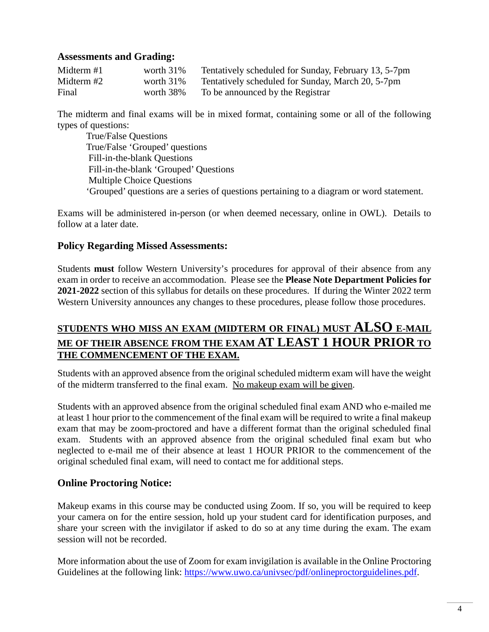#### **Assessments and Grading:**

| Midterm $#1$ | worth $31\%$ | Tentatively scheduled for Sunday, February 13, 5-7pm |
|--------------|--------------|------------------------------------------------------|
| Midterm #2   | worth $31\%$ | Tentatively scheduled for Sunday, March 20, 5-7pm    |
| Final        | worth 38%    | To be announced by the Registrar                     |

The midterm and final exams will be in mixed format, containing some or all of the following types of questions:

True/False Questions True/False 'Grouped' questions Fill-in-the-blank Questions Fill-in-the-blank 'Grouped' Questions Multiple Choice Questions 'Grouped' questions are a series of questions pertaining to a diagram or word statement.

Exams will be administered in-person (or when deemed necessary, online in OWL). Details to follow at a later date.

#### **Policy Regarding Missed Assessments:**

Students **must** follow Western University's procedures for approval of their absence from any exam in order to receive an accommodation. Please see the **Please Note Department Policies for 2021-2022** section of this syllabus for details on these procedures. If during the Winter 2022 term Western University announces any changes to these procedures, please follow those procedures.

# **STUDENTS WHO MISS AN EXAM (MIDTERM OR FINAL) MUST ALSO E-MAIL ME OF THEIR ABSENCE FROM THE EXAM AT LEAST 1 HOUR PRIOR TO THE COMMENCEMENT OF THE EXAM.**

Students with an approved absence from the original scheduled midterm exam will have the weight of the midterm transferred to the final exam. No makeup exam will be given.

Students with an approved absence from the original scheduled final exam AND who e-mailed me at least 1 hour prior to the commencement of the final exam will be required to write a final makeup exam that may be zoom-proctored and have a different format than the original scheduled final exam. Students with an approved absence from the original scheduled final exam but who neglected to e-mail me of their absence at least 1 HOUR PRIOR to the commencement of the original scheduled final exam, will need to contact me for additional steps.

#### **Online Proctoring Notice:**

Makeup exams in this course may be conducted using Zoom. If so, you will be required to keep your camera on for the entire session, hold up your student card for identification purposes, and share your screen with the invigilator if asked to do so at any time during the exam. The exam session will not be recorded.

More information about the use of Zoom for exam invigilation is available in the Online Proctoring Guidelines at the following link: [https://www.uwo.ca/univsec/pdf/onlineproctorguidelines.pdf.](https://www.uwo.ca/univsec/pdf/onlineproctorguidelines.pdf)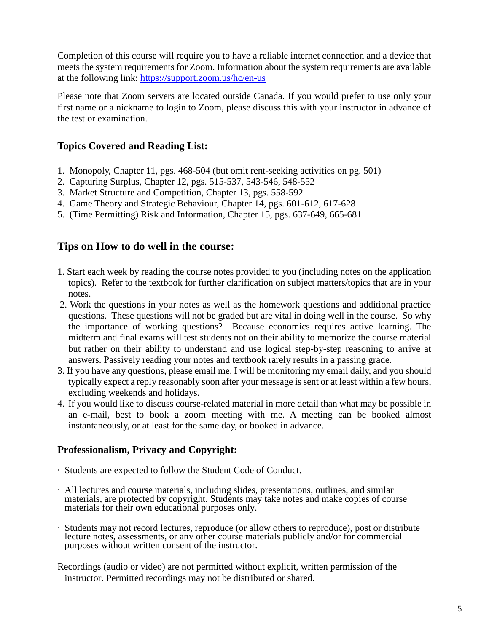Completion of this course will require you to have a reliable internet connection and a device that meets the system requirements for Zoom. Information about the system requirements are available at the following link:<https://support.zoom.us/hc/en-us>

Please note that Zoom servers are located outside Canada. If you would prefer to use only your first name or a nickname to login to Zoom, please discuss this with your instructor in advance of the test or examination.

# **Topics Covered and Reading List:**

- 1. Monopoly, Chapter 11, pgs. 468-504 (but omit rent-seeking activities on pg. 501)
- 2. Capturing Surplus, Chapter 12, pgs. 515-537, 543-546, 548-552
- 3. Market Structure and Competition, Chapter 13, pgs. 558-592
- 4. Game Theory and Strategic Behaviour, Chapter 14, pgs. 601-612, 617-628
- 5. (Time Permitting) Risk and Information, Chapter 15, pgs. 637-649, 665-681

# **Tips on How to do well in the course:**

- 1. Start each week by reading the course notes provided to you (including notes on the application topics). Refer to the textbook for further clarification on subject matters/topics that are in your notes.
- 2. Work the questions in your notes as well as the homework questions and additional practice questions. These questions will not be graded but are vital in doing well in the course. So why the importance of working questions? Because economics requires active learning. The midterm and final exams will test students not on their ability to memorize the course material but rather on their ability to understand and use logical step-by-step reasoning to arrive at answers. Passively reading your notes and textbook rarely results in a passing grade.
- 3. If you have any questions, please email me. I will be monitoring my email daily, and you should typically expect a reply reasonably soon after your message is sent or at least within a few hours, excluding weekends and holidays.
- 4. If you would like to discuss course-related material in more detail than what may be possible in an e-mail, best to book a zoom meeting with me. A meeting can be booked almost instantaneously, or at least for the same day, or booked in advance.

# **Professionalism, Privacy and Copyright:**

- · Students are expected to follow the Student Code of Conduct.
- · All lectures and course materials, including slides, presentations, outlines, and similar materials, are protected by copyright. Students may take notes and make copies of course materials for their own educational purposes only.
- · Students may not record lectures, reproduce (or allow others to reproduce), post or distribute lecture notes, assessments, or any other course materials publicly and/or for commercial purposes without written consent of the instructor.

Recordings (audio or video) are not permitted without explicit, written permission of the instructor. Permitted recordings may not be distributed or shared.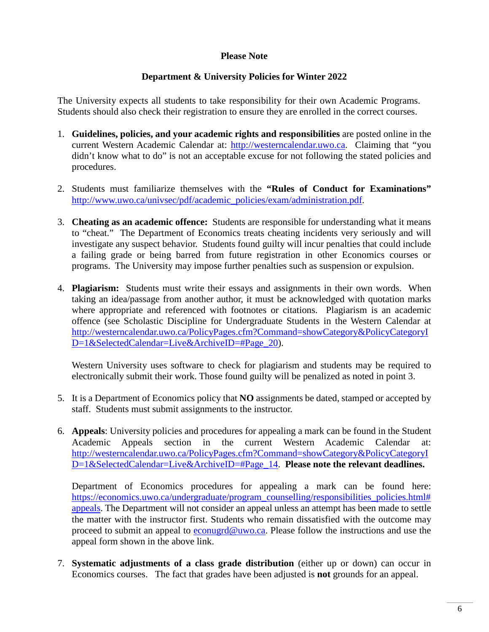#### **Please Note**

#### **Department & University Policies for Winter 2022**

The University expects all students to take responsibility for their own Academic Programs. Students should also check their registration to ensure they are enrolled in the correct courses.

- 1. **Guidelines, policies, and your academic rights and responsibilities** are posted online in the current Western Academic Calendar at: [http://westerncalendar.uwo.ca.](http://westerncalendar.uwo.ca/) Claiming that "you didn't know what to do" is not an acceptable excuse for not following the stated policies and procedures.
- 2. Students must familiarize themselves with the **"Rules of Conduct for Examinations"** [http://www.uwo.ca/univsec/pdf/academic\\_policies/exam/administration.pdf.](http://www.uwo.ca/univsec/pdf/academic_policies/exam/administration.pdf)
- 3. **Cheating as an academic offence:** Students are responsible for understanding what it means to "cheat." The Department of Economics treats cheating incidents very seriously and will investigate any suspect behavior. Students found guilty will incur penalties that could include a failing grade or being barred from future registration in other Economics courses or programs. The University may impose further penalties such as suspension or expulsion.
- 4. **Plagiarism:** Students must write their essays and assignments in their own words. When taking an idea/passage from another author, it must be acknowledged with quotation marks where appropriate and referenced with footnotes or citations. Plagiarism is an academic offence (see Scholastic Discipline for Undergraduate Students in the Western Calendar at [http://westerncalendar.uwo.ca/PolicyPages.cfm?Command=showCategory&PolicyCategoryI](http://westerncalendar.uwo.ca/PolicyPages.cfm?Command=showCategory&PolicyCategoryID=1&SelectedCalendar=Live&ArchiveID=#Page_20) D=1&SelectedCalendar=Live&ArchiveID=#Page 20).

Western University uses software to check for plagiarism and students may be required to electronically submit their work. Those found guilty will be penalized as noted in point 3.

- 5. It is a Department of Economics policy that **NO** assignments be dated, stamped or accepted by staff. Students must submit assignments to the instructor.
- 6. **Appeals**: University policies and procedures for appealing a mark can be found in the Student Academic Appeals section in the current Western Academic Calendar at: [http://westerncalendar.uwo.ca/PolicyPages.cfm?Command=showCategory&PolicyCategoryI](http://westerncalendar.uwo.ca/PolicyPages.cfm?Command=showCategory&PolicyCategoryID=1&SelectedCalendar=Live&ArchiveID=#Page_14) [D=1&SelectedCalendar=Live&ArchiveID=#Page\\_14.](http://westerncalendar.uwo.ca/PolicyPages.cfm?Command=showCategory&PolicyCategoryID=1&SelectedCalendar=Live&ArchiveID=#Page_14) **Please note the relevant deadlines.**

Department of Economics procedures for appealing a mark can be found here: [https://economics.uwo.ca/undergraduate/program\\_counselling/responsibilities\\_policies.html#](https://economics.uwo.ca/undergraduate/program_counselling/responsibilities_policies.html#appeals) [appeals.](https://economics.uwo.ca/undergraduate/program_counselling/responsibilities_policies.html#appeals) The Department will not consider an appeal unless an attempt has been made to settle the matter with the instructor first. Students who remain dissatisfied with the outcome may proceed to submit an appeal to [econugrd@uwo.ca.](mailto:econugrd@uwo.ca) Please follow the instructions and use the appeal form shown in the above link.

7. **Systematic adjustments of a class grade distribution** (either up or down) can occur in Economics courses. The fact that grades have been adjusted is **not** grounds for an appeal.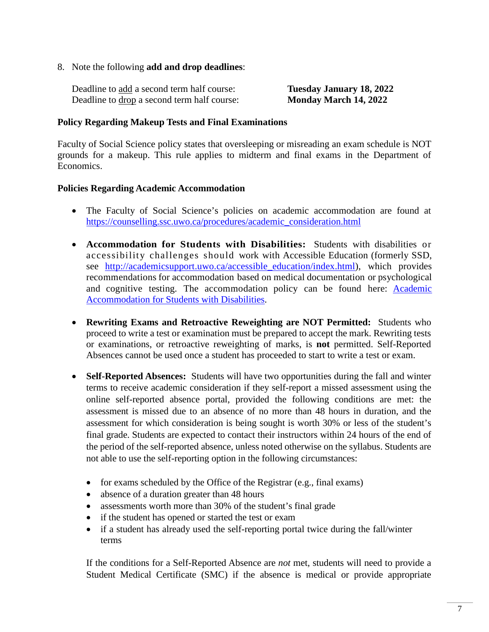8. Note the following **add and drop deadlines**:

| Deadline to add a second term half course:  | <b>Tuesday January 18, 2022</b> |
|---------------------------------------------|---------------------------------|
| Deadline to drop a second term half course: | Monday March 14, 2022           |

#### **Policy Regarding Makeup Tests and Final Examinations**

Faculty of Social Science policy states that oversleeping or misreading an exam schedule is NOT grounds for a makeup. This rule applies to midterm and final exams in the Department of Economics.

#### **Policies Regarding Academic Accommodation**

- The Faculty of Social Science's policies on academic accommodation are found at [https://counselling.ssc.uwo.ca/procedures/academic\\_consideration.html](https://counselling.ssc.uwo.ca/procedures/academic_consideration.html)
- **Accommodation for Students with Disabilities:** Students with disabilities or accessibility challenges should work with Accessible Education (formerly SSD, see [http://academicsupport.uwo.ca/accessible\\_education/index.html\)](http://academicsupport.uwo.ca/accessible_education/index.html), which provides recommendations for accommodation based on medical documentation or psychological and cognitive testing. The accommodation policy can be found here: [Academic](https://www.uwo.ca/univsec/pdf/academic_policies/appeals/Academic%20Accommodation_disabilities.pdf)  [Accommodation for Students with Disabilities.](https://www.uwo.ca/univsec/pdf/academic_policies/appeals/Academic%20Accommodation_disabilities.pdf)
- **Rewriting Exams and Retroactive Reweighting are NOT Permitted:** Students who proceed to write a test or examination must be prepared to accept the mark. Rewriting tests or examinations, or retroactive reweighting of marks, is **not** permitted. Self-Reported Absences cannot be used once a student has proceeded to start to write a test or exam.
- **Self-Reported Absences:** Students will have two opportunities during the fall and winter terms to receive academic consideration if they self-report a missed assessment using the online self-reported absence portal, provided the following conditions are met: the assessment is missed due to an absence of no more than 48 hours in duration, and the assessment for which consideration is being sought is worth 30% or less of the student's final grade. Students are expected to contact their instructors within 24 hours of the end of the period of the self-reported absence, unless noted otherwise on the syllabus. Students are not able to use the self-reporting option in the following circumstances:
	- for exams scheduled by the Office of the Registrar (e.g., final exams)
	- absence of a duration greater than 48 hours
	- assessments worth more than 30% of the student's final grade
	- if the student has opened or started the test or exam
	- if a student has already used the self-reporting portal twice during the fall/winter terms

If the conditions for a Self-Reported Absence are *not* met, students will need to provide a Student Medical Certificate (SMC) if the absence is medical or provide appropriate